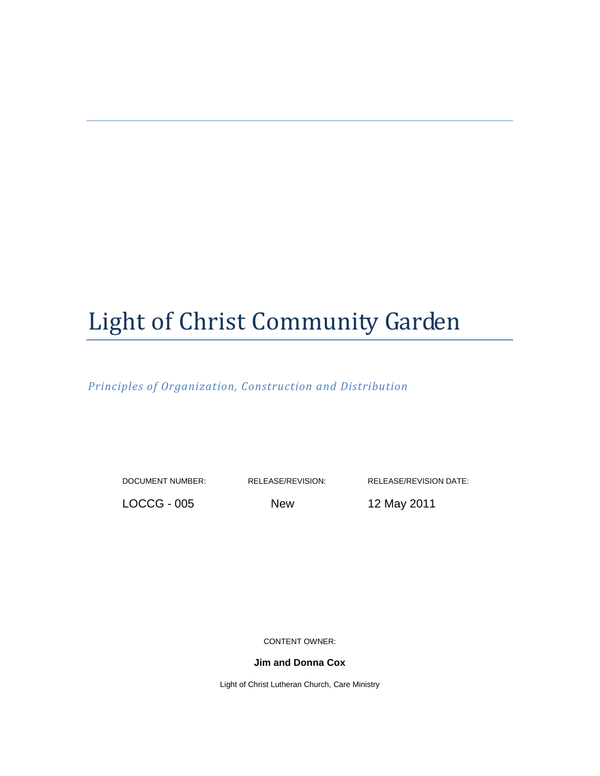# Light of Christ Community Garden

Principles of Organization, Construction and Distribution

DOCUMENT NUMBER: RELEASE/REVISION: RELEASE/REVISION DATE:

LOCCG - 005 New 12 May 2011

CONTENT OWNER:

**Jim and Donna Cox** 

Light of Christ Lutheran Church, Care Ministry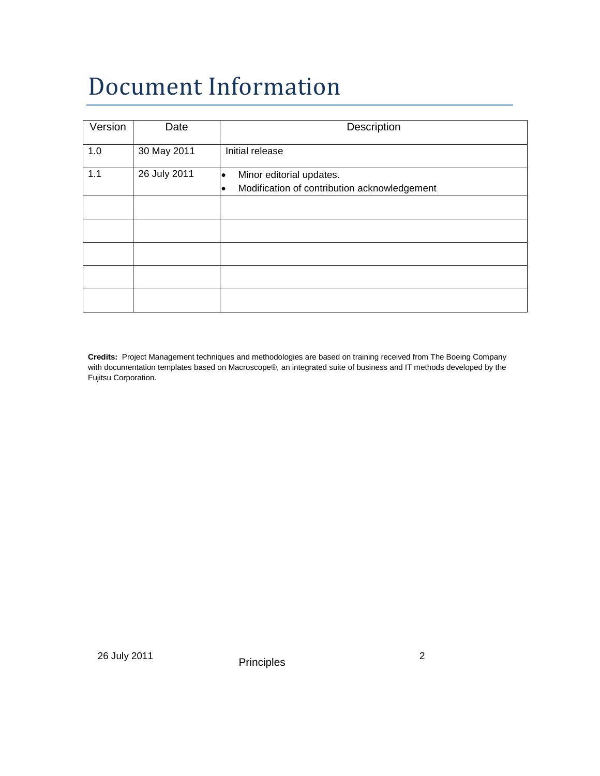## Document Information

| Version | Date         | Description                                  |
|---------|--------------|----------------------------------------------|
|         |              |                                              |
| 1.0     | 30 May 2011  | Initial release                              |
|         |              |                                              |
| 1.1     | 26 July 2011 | Minor editorial updates.                     |
|         |              | Modification of contribution acknowledgement |
|         |              |                                              |
|         |              |                                              |
|         |              |                                              |
|         |              |                                              |
|         |              |                                              |
|         |              |                                              |
|         |              |                                              |
|         |              |                                              |
|         |              |                                              |
|         |              |                                              |

**Credits:** Project Management techniques and methodologies are based on training received from The Boeing Company with documentation templates based on Macroscope®, an integrated suite of business and IT methods developed by the Fujitsu Corporation.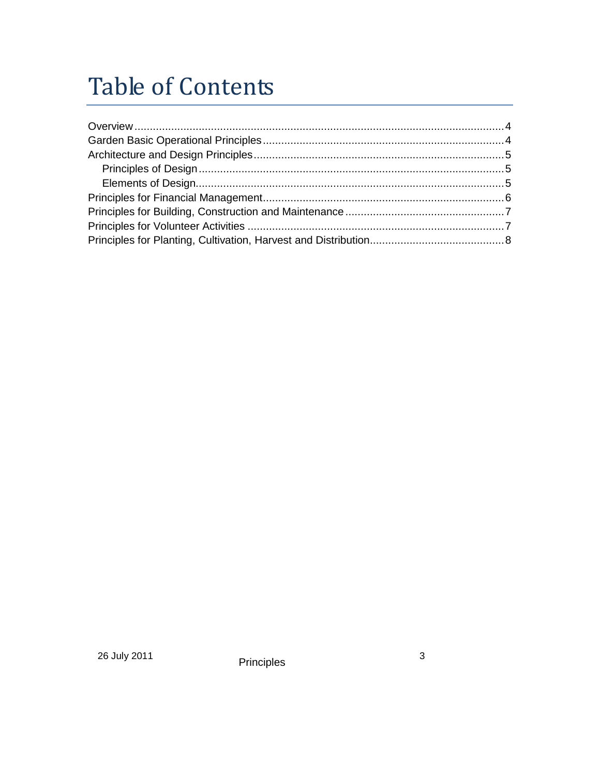### **Table of Contents**

Principles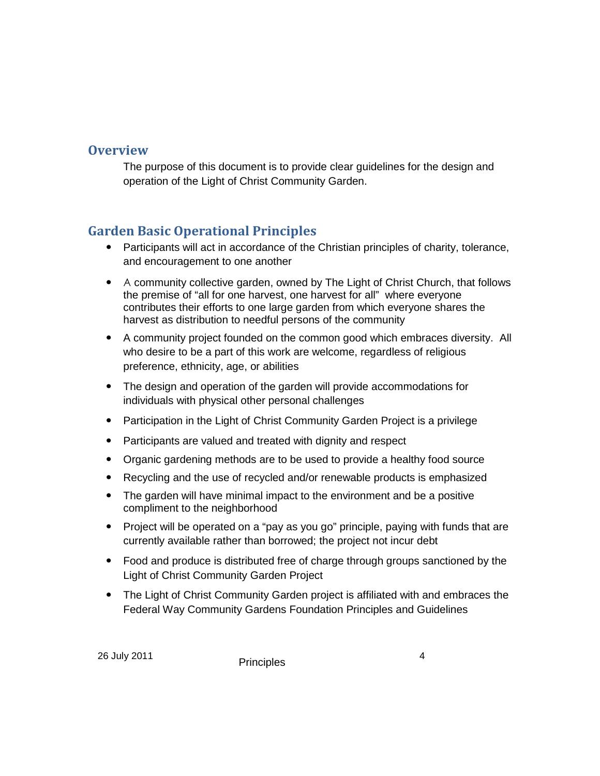#### **Overview**

The purpose of this document is to provide clear guidelines for the design and operation of the Light of Christ Community Garden.

#### Garden Basic Operational Principles

- Participants will act in accordance of the Christian principles of charity, tolerance, and encouragement to one another
- A community collective garden, owned by The Light of Christ Church, that follows the premise of "all for one harvest, one harvest for all" where everyone contributes their efforts to one large garden from which everyone shares the harvest as distribution to needful persons of the community
- A community project founded on the common good which embraces diversity. All who desire to be a part of this work are welcome, regardless of religious preference, ethnicity, age, or abilities
- The design and operation of the garden will provide accommodations for individuals with physical other personal challenges
- Participation in the Light of Christ Community Garden Project is a privilege
- Participants are valued and treated with dignity and respect
- Organic gardening methods are to be used to provide a healthy food source
- Recycling and the use of recycled and/or renewable products is emphasized
- The garden will have minimal impact to the environment and be a positive compliment to the neighborhood
- Project will be operated on a "pay as you go" principle, paying with funds that are currently available rather than borrowed; the project not incur debt
- Food and produce is distributed free of charge through groups sanctioned by the Light of Christ Community Garden Project
- The Light of Christ Community Garden project is affiliated with and embraces the Federal Way Community Gardens Foundation Principles and Guidelines

26 July 2011 **Principles** 2011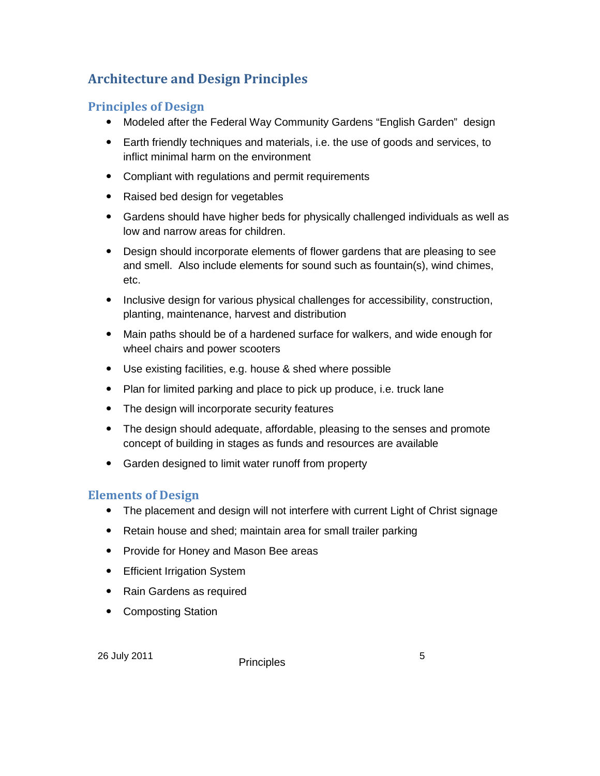### Architecture and Design Principles

#### Principles of Design

- Modeled after the Federal Way Community Gardens "English Garden" design
- Earth friendly techniques and materials, i.e. the use of goods and services, to inflict minimal harm on the environment
- Compliant with regulations and permit requirements
- Raised bed design for vegetables
- Gardens should have higher beds for physically challenged individuals as well as low and narrow areas for children.
- Design should incorporate elements of flower gardens that are pleasing to see and smell. Also include elements for sound such as fountain(s), wind chimes, etc.
- Inclusive design for various physical challenges for accessibility, construction, planting, maintenance, harvest and distribution
- Main paths should be of a hardened surface for walkers, and wide enough for wheel chairs and power scooters
- Use existing facilities, e.g. house & shed where possible
- Plan for limited parking and place to pick up produce, i.e. truck lane
- The design will incorporate security features
- The design should adequate, affordable, pleasing to the senses and promote concept of building in stages as funds and resources are available
- Garden designed to limit water runoff from property

#### Elements of Design

- The placement and design will not interfere with current Light of Christ signage
- Retain house and shed; maintain area for small trailer parking
- Provide for Honey and Mason Bee areas
- Efficient Irrigation System
- Rain Gardens as required
- Composting Station

26 July 2011 **Principles** 5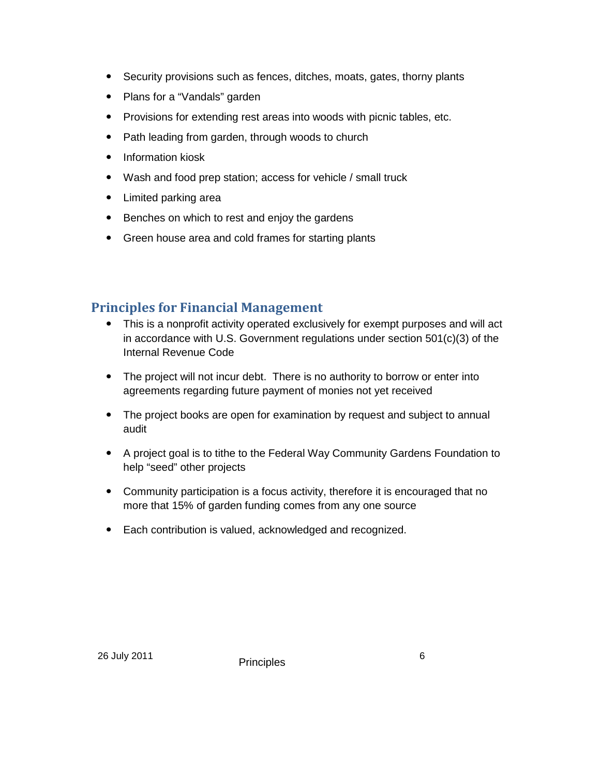- Security provisions such as fences, ditches, moats, gates, thorny plants
- Plans for a "Vandals" garden
- Provisions for extending rest areas into woods with picnic tables, etc.
- Path leading from garden, through woods to church
- Information kiosk
- Wash and food prep station; access for vehicle / small truck
- Limited parking area
- Benches on which to rest and enjoy the gardens
- Green house area and cold frames for starting plants

#### Principles for Financial Management

- This is a nonprofit activity operated exclusively for exempt purposes and will act in accordance with U.S. Government regulations under section 501(c)(3) of the Internal Revenue Code
- The project will not incur debt. There is no authority to borrow or enter into agreements regarding future payment of monies not yet received
- The project books are open for examination by request and subject to annual audit
- A project goal is to tithe to the Federal Way Community Gardens Foundation to help "seed" other projects
- Community participation is a focus activity, therefore it is encouraged that no more that 15% of garden funding comes from any one source
- Each contribution is valued, acknowledged and recognized.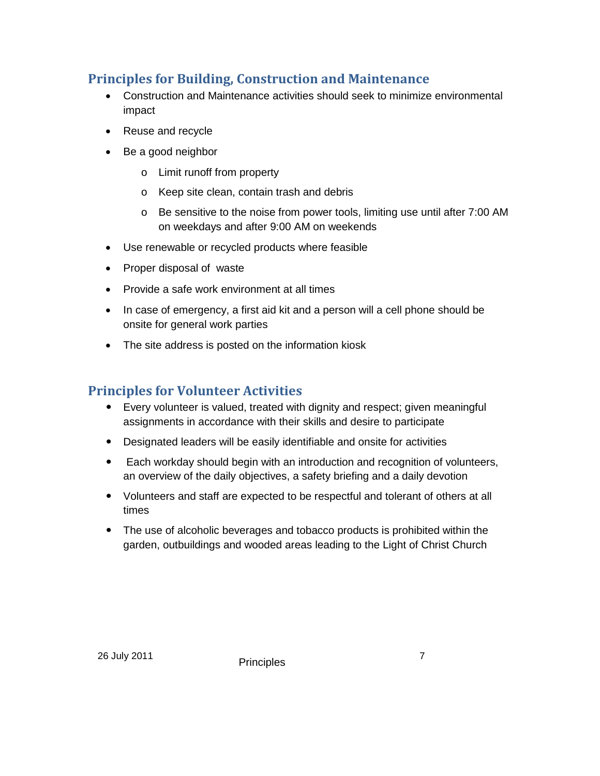#### Principles for Building, Construction and Maintenance

- Construction and Maintenance activities should seek to minimize environmental impact
- Reuse and recycle
- Be a good neighbor
	- o Limit runoff from property
	- o Keep site clean, contain trash and debris
	- $\circ$  Be sensitive to the noise from power tools, limiting use until after 7:00 AM on weekdays and after 9:00 AM on weekends
- Use renewable or recycled products where feasible
- Proper disposal of waste
- Provide a safe work environment at all times
- In case of emergency, a first aid kit and a person will a cell phone should be onsite for general work parties
- The site address is posted on the information kiosk

#### Principles for Volunteer Activities

- Every volunteer is valued, treated with dignity and respect; given meaningful assignments in accordance with their skills and desire to participate
- Designated leaders will be easily identifiable and onsite for activities
- Each workday should begin with an introduction and recognition of volunteers, an overview of the daily objectives, a safety briefing and a daily devotion
- Volunteers and staff are expected to be respectful and tolerant of others at all times
- The use of alcoholic beverages and tobacco products is prohibited within the garden, outbuildings and wooded areas leading to the Light of Christ Church